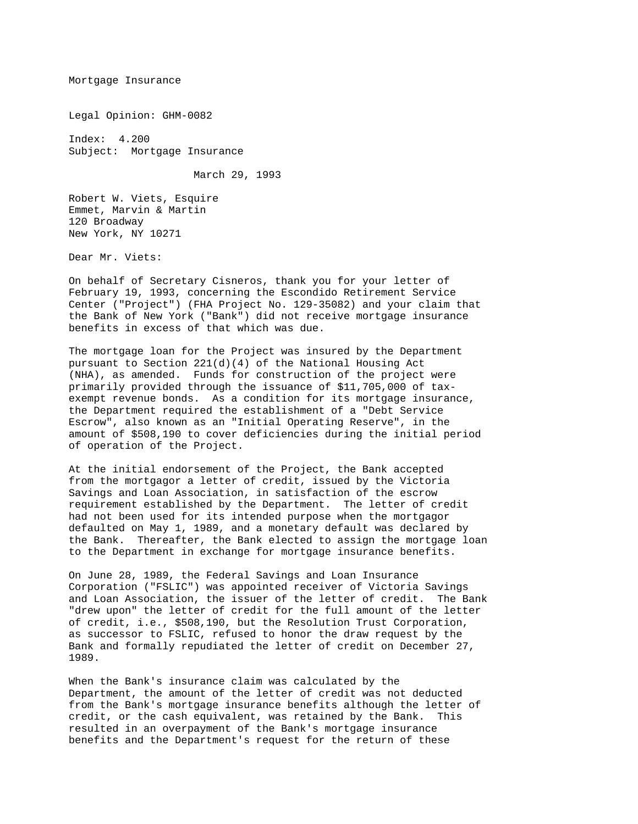Mortgage Insurance

Legal Opinion: GHM-0082

Index: 4.200 Subject: Mortgage Insurance

March 29, 1993

Robert W. Viets, Esquire Emmet, Marvin & Martin 120 Broadway New York, NY 10271

Dear Mr. Viets:

On behalf of Secretary Cisneros, thank you for your letter of February 19, 1993, concerning the Escondido Retirement Service Center ("Project") (FHA Project No. 129-35082) and your claim that the Bank of New York ("Bank") did not receive mortgage insurance benefits in excess of that which was due.

The mortgage loan for the Project was insured by the Department pursuant to Section 221(d)(4) of the National Housing Act (NHA), as amended. Funds for construction of the project were primarily provided through the issuance of \$11,705,000 of taxexempt revenue bonds. As a condition for its mortgage insurance, the Department required the establishment of a "Debt Service Escrow", also known as an "Initial Operating Reserve", in the amount of \$508,190 to cover deficiencies during the initial period of operation of the Project.

At the initial endorsement of the Project, the Bank accepted from the mortgagor a letter of credit, issued by the Victoria Savings and Loan Association, in satisfaction of the escrow requirement established by the Department. The letter of credit had not been used for its intended purpose when the mortgagor defaulted on May 1, 1989, and a monetary default was declared by the Bank. Thereafter, the Bank elected to assign the mortgage loan to the Department in exchange for mortgage insurance benefits.

On June 28, 1989, the Federal Savings and Loan Insurance Corporation ("FSLIC") was appointed receiver of Victoria Savings and Loan Association, the issuer of the letter of credit. The Bank "drew upon" the letter of credit for the full amount of the letter of credit, i.e., \$508,190, but the Resolution Trust Corporation, as successor to FSLIC, refused to honor the draw request by the Bank and formally repudiated the letter of credit on December 27, 1989.

When the Bank's insurance claim was calculated by the Department, the amount of the letter of credit was not deducted from the Bank's mortgage insurance benefits although the letter of credit, or the cash equivalent, was retained by the Bank. This resulted in an overpayment of the Bank's mortgage insurance benefits and the Department's request for the return of these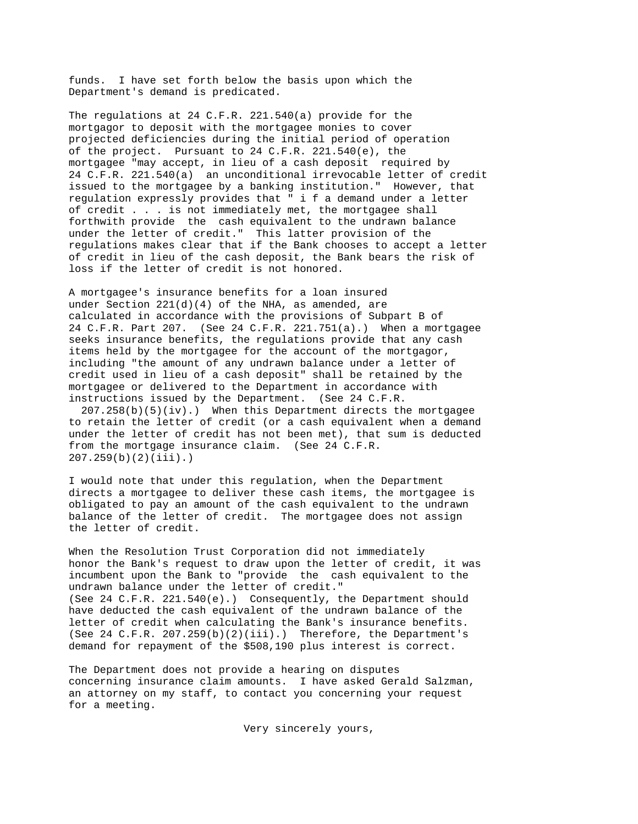funds. I have set forth below the basis upon which the Department's demand is predicated.

The regulations at 24 C.F.R. 221.540(a) provide for the mortgagor to deposit with the mortgagee monies to cover projected deficiencies during the initial period of operation of the project. Pursuant to 24 C.F.R. 221.540(e), the mortgagee "may accept, in lieu of a cash deposit required by 24 C.F.R. 221.540(a) an unconditional irrevocable letter of credit issued to the mortgagee by a banking institution." However, that regulation expressly provides that " i f a demand under a letter of credit . . . is not immediately met, the mortgagee shall forthwith provide the cash equivalent to the undrawn balance under the letter of credit." This latter provision of the regulations makes clear that if the Bank chooses to accept a letter of credit in lieu of the cash deposit, the Bank bears the risk of loss if the letter of credit is not honored.

A mortgagee's insurance benefits for a loan insured under Section 221(d)(4) of the NHA, as amended, are calculated in accordance with the provisions of Subpart B of 24 C.F.R. Part 207. (See 24 C.F.R. 221.751(a).) When a mortgagee seeks insurance benefits, the regulations provide that any cash items held by the mortgagee for the account of the mortgagor, including "the amount of any undrawn balance under a letter of credit used in lieu of a cash deposit" shall be retained by the mortgagee or delivered to the Department in accordance with instructions issued by the Department. (See 24 C.F.R.

 207.258(b)(5)(iv).) When this Department directs the mortgagee to retain the letter of credit (or a cash equivalent when a demand under the letter of credit has not been met), that sum is deducted from the mortgage insurance claim. (See 24 C.F.R. 207.259(b)(2)(iii).)

I would note that under this regulation, when the Department directs a mortgagee to deliver these cash items, the mortgagee is obligated to pay an amount of the cash equivalent to the undrawn balance of the letter of credit. The mortgagee does not assign the letter of credit.

When the Resolution Trust Corporation did not immediately honor the Bank's request to draw upon the letter of credit, it was incumbent upon the Bank to "provide the cash equivalent to the undrawn balance under the letter of credit." (See 24 C.F.R. 221.540(e).) Consequently, the Department should have deducted the cash equivalent of the undrawn balance of the letter of credit when calculating the Bank's insurance benefits. (See 24 C.F.R. 207.259(b)(2)(iii).) Therefore, the Department's demand for repayment of the \$508,190 plus interest is correct.

The Department does not provide a hearing on disputes concerning insurance claim amounts. I have asked Gerald Salzman, an attorney on my staff, to contact you concerning your request for a meeting.

Very sincerely yours,